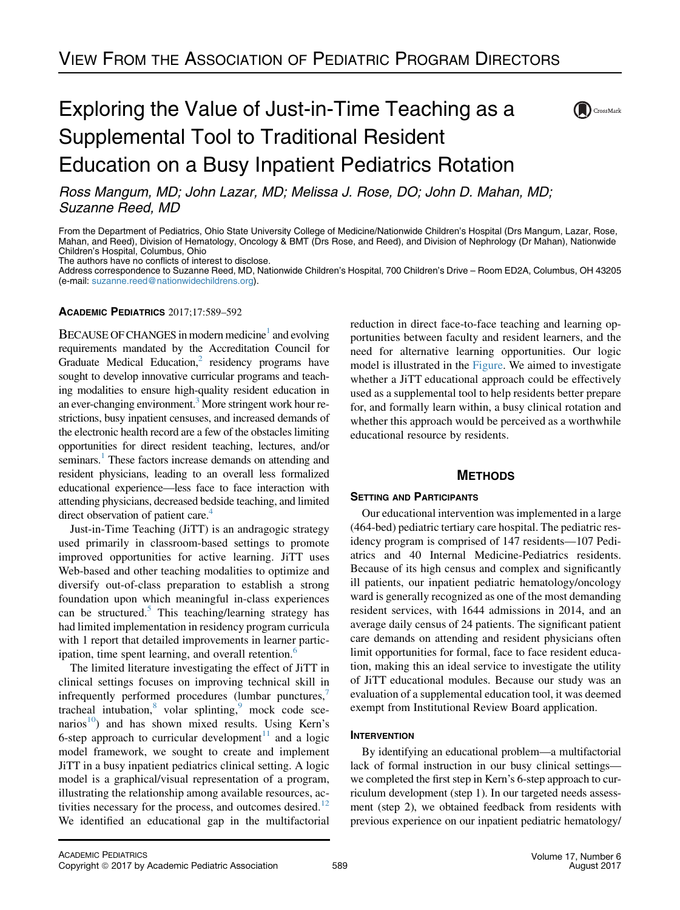# Exploring the Value of Just-in-Time Teaching as a Supplemental Tool to Traditional Resident Education on a Busy Inpatient Pediatrics Rotation



Ross Mangum, MD; John Lazar, MD; Melissa J. Rose, DO; John D. Mahan, MD; Suzanne Reed, MD

From the Department of Pediatrics, Ohio State University College of Medicine/Nationwide Children's Hospital (Drs Mangum, Lazar, Rose, Mahan, and Reed), Division of Hematology, Oncology & BMT (Drs Rose, and Reed), and Division of Nephrology (Dr Mahan), Nationwide Children's Hospital, Columbus, Ohio The authors have no conflicts of interest to disclose.

Address correspondence to Suzanne Reed, MD, Nationwide Children's Hospital, 700 Children's Drive – Room ED2A, Columbus, OH 43205 (e-mail: [suzanne.reed@nationwidechildrens.org](mailto:suzanne.reed@nationwidechildrens.org)).

### ACADEMIC PEDIATRICS 2017;17:589–592

BECAUSE OF CHANGES in modern medicine<sup>1</sup> and evolving requirements mandated by the Accreditation Council for Graduate Medical Education, $<sup>2</sup>$  $<sup>2</sup>$  $<sup>2</sup>$  residency programs have</sup> sought to develop innovative curricular programs and teaching modalities to ensure high-quality resident education in an ever-changing environment.<sup>3</sup> More stringent work hour restrictions, busy inpatient censuses, and increased demands of the electronic health record are a few of the obstacles limiting opportunities for direct resident teaching, lectures, and/or seminars.<sup>[1](#page-3-0)</sup> These factors increase demands on attending and resident physicians, leading to an overall less formalized educational experience—less face to face interaction with attending physicians, decreased bedside teaching, and limited direct observation of patient care.<sup>[4](#page-3-0)</sup>

Just-in-Time Teaching (JiTT) is an andragogic strategy used primarily in classroom-based settings to promote improved opportunities for active learning. JiTT uses Web-based and other teaching modalities to optimize and diversify out-of-class preparation to establish a strong foundation upon which meaningful in-class experiences can be structured.<sup>[5](#page-3-0)</sup> This teaching/learning strategy has had limited implementation in residency program curricula with 1 report that detailed improvements in learner partic-ipation, time spent learning, and overall retention.<sup>[6](#page-3-0)</sup>

The limited literature investigating the effect of JiTT in clinical settings focuses on improving technical skill in infrequently performed procedures (lumbar punctures,<sup>[7](#page-3-0)</sup> tracheal intubation, $8$  volar splinting, $9$  mock code sce-narios<sup>[10](#page-3-0)</sup>) and has shown mixed results. Using Kern's 6-step approach to curricular development<sup>[11](#page-3-0)</sup> and a logic model framework, we sought to create and implement JiTT in a busy inpatient pediatrics clinical setting. A logic model is a graphical/visual representation of a program, illustrating the relationship among available resources, activities necessary for the process, and outcomes desired. $12$ We identified an educational gap in the multifactorial reduction in direct face-to-face teaching and learning opportunities between faculty and resident learners, and the need for alternative learning opportunities. Our logic model is illustrated in the [Figure.](#page-1-0) We aimed to investigate whether a JiTT educational approach could be effectively used as a supplemental tool to help residents better prepare for, and formally learn within, a busy clinical rotation and whether this approach would be perceived as a worthwhile educational resource by residents.

## **METHODS** METHODS

**SETTING AND PARTICIPATE** (464-bed) pediatric tertiary care hospital. The pediatric residency program is comprised of 147 residents—107 Pediatrics and 40 Internal Medicine-Pediatrics residents. Because of its high census and complex and significantly ill patients, our inpatient pediatric hematology/oncology ward is generally recognized as one of the most demanding resident services, with 1644 admissions in 2014, and an average daily census of 24 patients. The significant patient care demands on attending and resident physicians often limit opportunities for formal, face to face resident education, making this an ideal service to investigate the utility of JiTT educational modules. Because our study was an evaluation of a supplemental education tool, it was deemed exempt from Institutional Review Board application.

# **INTERVENTION**

By identifying an educational problem—a multifactorial lack of formal instruction in our busy clinical settings we completed the first step in Kern's 6-step approach to curriculum development (step 1). In our targeted needs assessment (step 2), we obtained feedback from residents with previous experience on our inpatient pediatric hematology/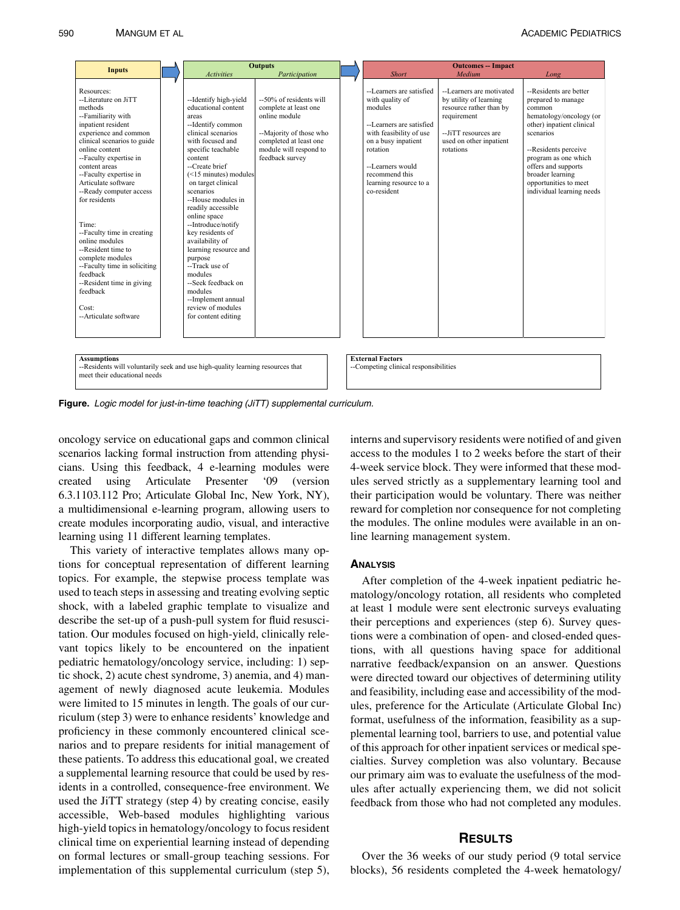<span id="page-1-0"></span>

| <b>Activities</b>                                                                                                                                                                                                                                                                                                                                                                                                                                                                                       | <b>Outputs</b><br>Participation                                                                                                                                     |                                                                                                           | <b>Short</b>                                                                                                                                                                                                                    | <b>Outcomes -- Impact</b><br>Medium                                                                                                                          | Long                                                                                                                                                                                                                                                                         |
|---------------------------------------------------------------------------------------------------------------------------------------------------------------------------------------------------------------------------------------------------------------------------------------------------------------------------------------------------------------------------------------------------------------------------------------------------------------------------------------------------------|---------------------------------------------------------------------------------------------------------------------------------------------------------------------|-----------------------------------------------------------------------------------------------------------|---------------------------------------------------------------------------------------------------------------------------------------------------------------------------------------------------------------------------------|--------------------------------------------------------------------------------------------------------------------------------------------------------------|------------------------------------------------------------------------------------------------------------------------------------------------------------------------------------------------------------------------------------------------------------------------------|
| --Identify high-yield<br>educational content<br>areas<br>--Identify common<br>clinical scenarios<br>with focused and<br>specific teachable<br>content<br>--Create brief<br>on target clinical<br>scenarios<br>--House modules in<br>readily accessible<br>online space<br>--Introduce/notify<br>key residents of<br>availability of<br>learning resource and<br>purpose<br>--Track use of<br>modules<br>--Seek feedback on<br>modules<br>--Implement annual<br>review of modules<br>for content editing | --50% of residents will<br>complete at least one<br>online module<br>--Majority of those who<br>completed at least one<br>module will respond to<br>feedback survey |                                                                                                           | --Learners are satisfied<br>with quality of<br>modules<br>--Learners are satisfied<br>with feasibility of use<br>on a busy inpatient<br>rotation<br>--Learners would<br>recommend this<br>learning resource to a<br>co-resident | --Learners are motivated<br>by utility of learning<br>resource rather than by<br>requirement<br>--JiTT resources are<br>used on other inpatient<br>rotations | --Residents are better<br>prepared to manage<br>common<br>hematology/oncology (or<br>other) inpatient clinical<br>scenarios<br>--Residents perceive<br>program as one which<br>offers and supports<br>broader learning<br>opportunities to meet<br>individual learning needs |
|                                                                                                                                                                                                                                                                                                                                                                                                                                                                                                         |                                                                                                                                                                     |                                                                                                           |                                                                                                                                                                                                                                 |                                                                                                                                                              |                                                                                                                                                                                                                                                                              |
|                                                                                                                                                                                                                                                                                                                                                                                                                                                                                                         |                                                                                                                                                                     | $(<15$ minutes) modules<br>--Residents will voluntarily seek and use high-quality learning resources that |                                                                                                                                                                                                                                 | <b>External Factors</b>                                                                                                                                      | --Competing clinical responsibilities                                                                                                                                                                                                                                        |

Figure. Logic model for just-in-time teaching (JiTT) supplemental curriculum.

oncology service on educational gaps and common clinical scenarios lacking formal instruction from attending physicians. Using this feedback, 4 e-learning modules were created using Articulate Presenter '09 (version 6.3.1103.112 Pro; Articulate Global Inc, New York, NY), a multidimensional e-learning program, allowing users to create modules incorporating audio, visual, and interactive learning using 11 different learning templates.

This variety of interactive templates allows many options for conceptual representation of different learning topics. For example, the stepwise process template was used to teach steps in assessing and treating evolving septic shock, with a labeled graphic template to visualize and describe the set-up of a push-pull system for fluid resuscitation. Our modules focused on high-yield, clinically relevant topics likely to be encountered on the inpatient pediatric hematology/oncology service, including: 1) septic shock, 2) acute chest syndrome, 3) anemia, and 4) management of newly diagnosed acute leukemia. Modules were limited to 15 minutes in length. The goals of our curriculum (step 3) were to enhance residents' knowledge and proficiency in these commonly encountered clinical scenarios and to prepare residents for initial management of these patients. To address this educational goal, we created a supplemental learning resource that could be used by residents in a controlled, consequence-free environment. We used the JiTT strategy (step 4) by creating concise, easily accessible, Web-based modules highlighting various high-yield topics in hematology/oncology to focus resident clinical time on experiential learning instead of depending on formal lectures or small-group teaching sessions. For implementation of this supplemental curriculum (step 5),

interns and supervisory residents were notified of and given access to the modules 1 to 2 weeks before the start of their 4-week service block. They were informed that these modules served strictly as a supplementary learning tool and their participation would be voluntary. There was neither reward for completion nor consequence for not completing the modules. The online modules were available in an online learning management system.

After completion of the 4-week inpatient pediatric hematology/oncology rotation, all residents who completed at least 1 module were sent electronic surveys evaluating their perceptions and experiences (step 6). Survey questions were a combination of open- and closed-ended questions, with all questions having space for additional narrative feedback/expansion on an answer. Questions were directed toward our objectives of determining utility and feasibility, including ease and accessibility of the modules, preference for the Articulate (Articulate Global Inc) format, usefulness of the information, feasibility as a supplemental learning tool, barriers to use, and potential value of this approach for other inpatient services or medical specialties. Survey completion was also voluntary. Because our primary aim was to evaluate the usefulness of the modules after actually experiencing them, we did not solicit feedback from those who had not completed any modules.

Over the 36 weeks of our study period (9 total service blocks), 56 residents completed the 4-week hematology/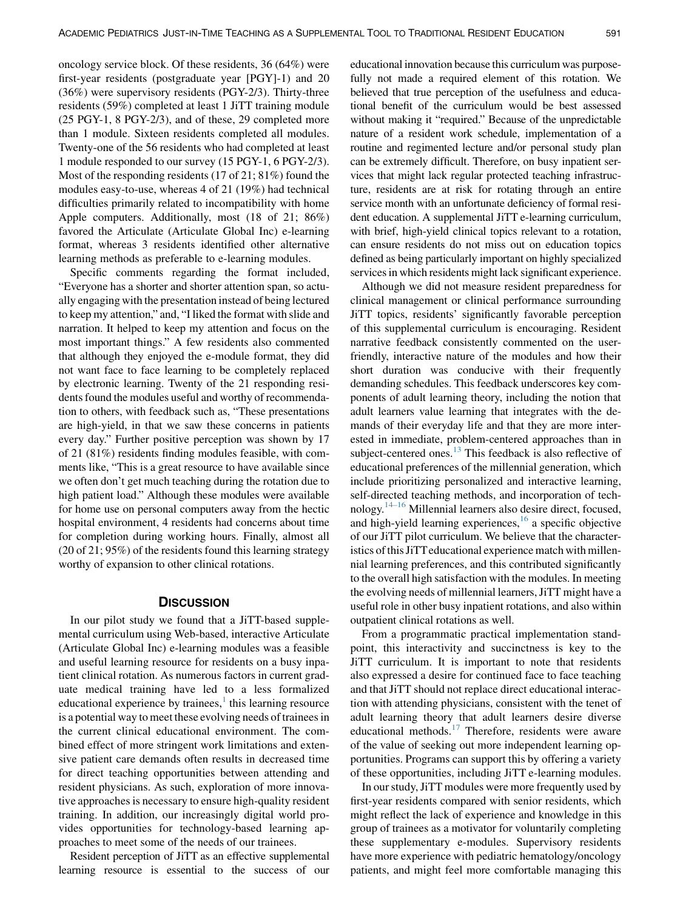oncology service block. Of these residents, 36 (64%) were first-year residents (postgraduate year [PGY]-1) and 20 (36%) were supervisory residents (PGY-2/3). Thirty-three residents (59%) completed at least 1 JiTT training module (25 PGY-1, 8 PGY-2/3), and of these, 29 completed more than 1 module. Sixteen residents completed all modules. Twenty-one of the 56 residents who had completed at least 1 module responded to our survey (15 PGY-1, 6 PGY-2/3). Most of the responding residents (17 of 21; 81%) found the modules easy-to-use, whereas 4 of 21 (19%) had technical difficulties primarily related to incompatibility with home Apple computers. Additionally, most (18 of 21; 86%) favored the Articulate (Articulate Global Inc) e-learning format, whereas 3 residents identified other alternative learning methods as preferable to e-learning modules.

Specific comments regarding the format included, "Everyone has a shorter and shorter attention span, so actually engaging with the presentation instead of being lectured to keep my attention," and, "I liked the format with slide and narration. It helped to keep my attention and focus on the most important things." A few residents also commented that although they enjoyed the e-module format, they did not want face to face learning to be completely replaced by electronic learning. Twenty of the 21 responding residents found the modules useful and worthy of recommendation to others, with feedback such as, "These presentations are high-yield, in that we saw these concerns in patients every day." Further positive perception was shown by 17 of 21 (81%) residents finding modules feasible, with comments like, "This is a great resource to have available since we often don't get much teaching during the rotation due to high patient load." Although these modules were available for home use on personal computers away from the hectic hospital environment, 4 residents had concerns about time for completion during working hours. Finally, almost all (20 of 21; 95%) of the residents found this learning strategy worthy of expansion to other clinical rotations.

In our pilot study we found that a JiTT-based supplemental curriculum using Web-based, interactive Articulate (Articulate Global Inc) e-learning modules was a feasible and useful learning resource for residents on a busy inpatient clinical rotation. As numerous factors in current graduate medical training have led to a less formalized educational experience by trainees, $\frac{1}{1}$  $\frac{1}{1}$  $\frac{1}{1}$  this learning resource is a potential way to meet these evolving needs of trainees in the current clinical educational environment. The combined effect of more stringent work limitations and extensive patient care demands often results in decreased time for direct teaching opportunities between attending and resident physicians. As such, exploration of more innovative approaches is necessary to ensure high-quality resident training. In addition, our increasingly digital world provides opportunities for technology-based learning approaches to meet some of the needs of our trainees.

Resident perception of JiTT as an effective supplemental learning resource is essential to the success of our

educational innovation because this curriculum was purposefully not made a required element of this rotation. We believed that true perception of the usefulness and educational benefit of the curriculum would be best assessed without making it "required." Because of the unpredictable nature of a resident work schedule, implementation of a routine and regimented lecture and/or personal study plan can be extremely difficult. Therefore, on busy inpatient services that might lack regular protected teaching infrastructure, residents are at risk for rotating through an entire service month with an unfortunate deficiency of formal resident education. A supplemental JiTT e-learning curriculum, with brief, high-yield clinical topics relevant to a rotation, can ensure residents do not miss out on education topics defined as being particularly important on highly specialized services in which residents might lack significant experience.

Although we did not measure resident preparedness for clinical management or clinical performance surrounding JiTT topics, residents' significantly favorable perception of this supplemental curriculum is encouraging. Resident narrative feedback consistently commented on the userfriendly, interactive nature of the modules and how their short duration was conducive with their frequently demanding schedules. This feedback underscores key components of adult learning theory, including the notion that adult learners value learning that integrates with the demands of their everyday life and that they are more interested in immediate, problem-centered approaches than in subject-centered ones. $^{13}$  $^{13}$  $^{13}$  This feedback is also reflective of educational preferences of the millennial generation, which include prioritizing personalized and interactive learning, self-directed teaching methods, and incorporation of technology. $14-16$  Millennial learners also desire direct, focused, and high-yield learning experiences,  $16$  a specific objective of our JiTT pilot curriculum. We believe that the characteristics of this JiTTeducational experience match with millennial learning preferences, and this contributed significantly to the overall high satisfaction with the modules. In meeting the evolving needs of millennial learners, JiTT might have a useful role in other busy inpatient rotations, and also within outpatient clinical rotations as well.

From a programmatic practical implementation standpoint, this interactivity and succinctness is key to the JiTT curriculum. It is important to note that residents also expressed a desire for continued face to face teaching and that JiTT should not replace direct educational interaction with attending physicians, consistent with the tenet of adult learning theory that adult learners desire diverse educational methods.[17](#page-3-0) Therefore, residents were aware of the value of seeking out more independent learning opportunities. Programs can support this by offering a variety of these opportunities, including JiTT e-learning modules.

In our study, JiTT modules were more frequently used by first-year residents compared with senior residents, which might reflect the lack of experience and knowledge in this group of trainees as a motivator for voluntarily completing these supplementary e-modules. Supervisory residents have more experience with pediatric hematology/oncology patients, and might feel more comfortable managing this